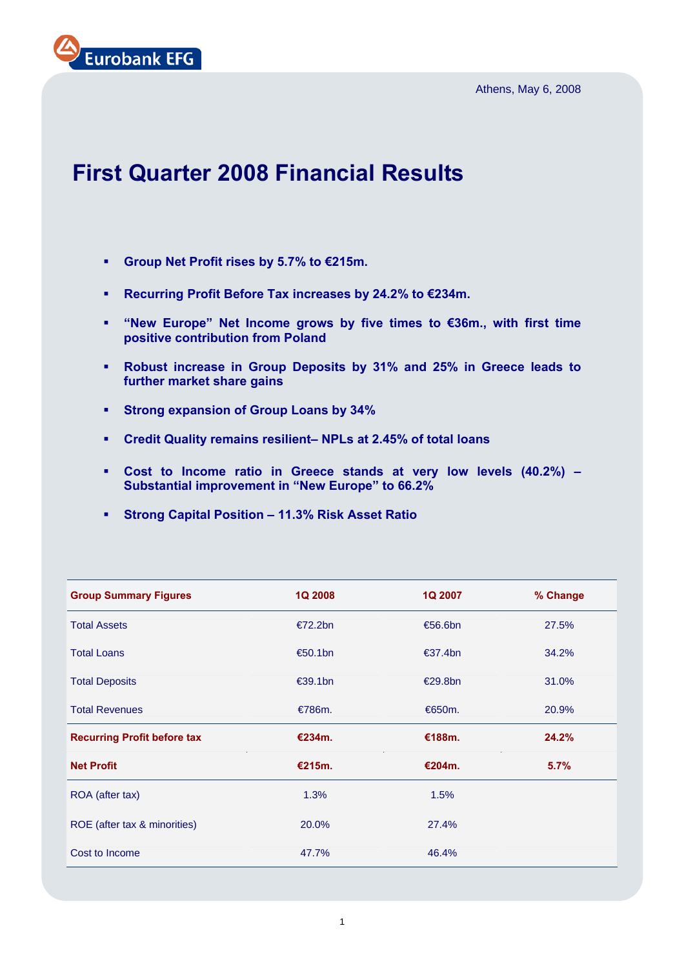Athens, May 6, 2008



# **First Quarter 2008 Financial Results**

- **Group Net Profit rises by 5.7% to €215m.**
- **Recurring Profit Before Tax increases by 24.2% to €234m.**
- **"New Europe" Net Income grows by five times to €36m., with first time positive contribution from Poland**
- **Robust increase in Group Deposits by 31% and 25% in Greece leads to further market share gains**
- **Strong expansion of Group Loans by 34%**
- **Credit Quality remains resilient– NPLs at 2.45% of total loans**
- **Cost to Income ratio in Greece stands at very low levels (40.2%) Substantial improvement in "New Europe" to 66.2%**
- **Strong Capital Position 11.3% Risk Asset Ratio**

| <b>Group Summary Figures</b>       | <b>1Q 2008</b> | 1Q 2007           | % Change |
|------------------------------------|----------------|-------------------|----------|
| <b>Total Assets</b>                | €72.2bn        | €56.6bn           | 27.5%    |
| <b>Total Loans</b>                 | €50.1bn        | $\epsilon$ 37.4bn | 34.2%    |
| <b>Total Deposits</b>              | €39.1bn        | €29.8bn           | 31.0%    |
| <b>Total Revenues</b>              | €786m.         | €650m.            | 20.9%    |
| <b>Recurring Profit before tax</b> | €234m.         | €188m.            | 24.2%    |
| <b>Net Profit</b>                  | €215m.         | €204m.            | 5.7%     |
| ROA (after tax)                    | 1.3%           | 1.5%              |          |
| ROE (after tax & minorities)       | 20.0%          | 27.4%             |          |
| Cost to Income                     | 47.7%          | 46.4%             |          |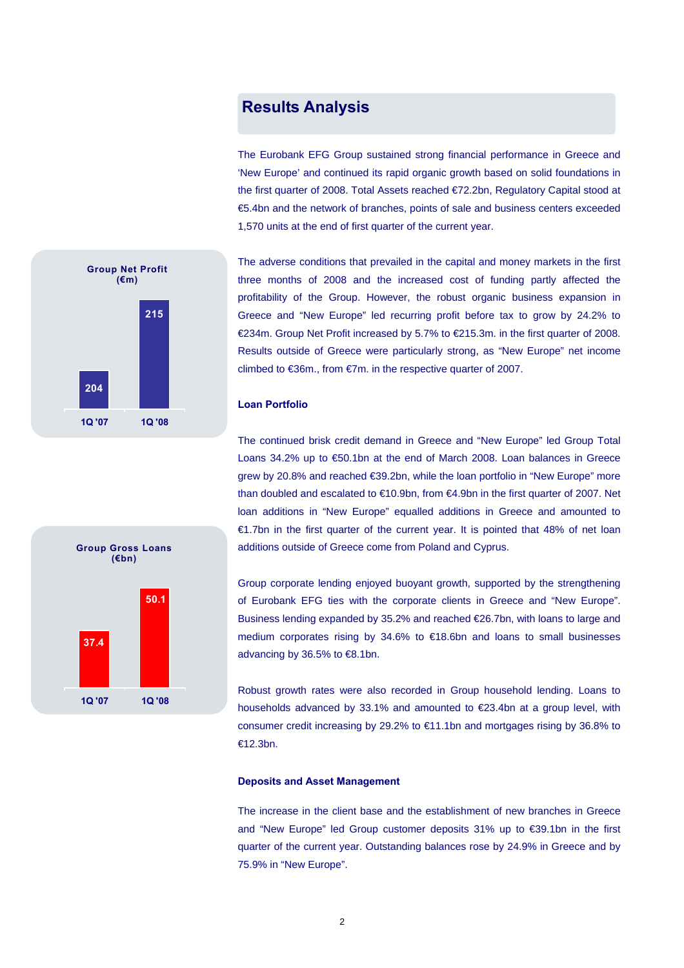## **Results Analysis**

The Eurobank EFG Group sustained strong financial performance in Greece and 'New Europe' and continued its rapid organic growth based on solid foundations in the first quarter of 2008. Total Assets reached €72.2bn, Regulatory Capital stood at €5.4bn and the network of branches, points of sale and business centers exceeded 1,570 units at the end of first quarter of the current year.



The adverse conditions that prevailed in the capital and money markets in the first three months of 2008 and the increased cost of funding partly affected the profitability of the Group. However, the robust organic business expansion in Greece and "New Europe" led recurring profit before tax to grow by 24.2% to €234m. Group Net Profit increased by 5.7% to €215.3m. in the first quarter of 2008. Results outside of Greece were particularly strong, as "New Europe" net income climbed to €36m., from €7m. in the respective quarter of 2007.

#### **Loan Portfolio**

The continued brisk credit demand in Greece and "New Europe" led Group Total Loans 34.2% up to €50.1bn at the end of March 2008. Loan balances in Greece grew by 20.8% and reached €39.2bn, while the loan portfolio in "New Europe" more than doubled and escalated to €10.9bn, from €4.9bn in the first quarter of 2007. Net loan additions in "New Europe" equalled additions in Greece and amounted to €1.7bn in the first quarter of the current year. It is pointed that 48% of net loan additions outside of Greece come from Poland and Cyprus.

Group corporate lending enjoyed buoyant growth, supported by the strengthening of Eurobank EFG ties with the corporate clients in Greece and "New Europe". Business lending expanded by 35.2% and reached €26.7bn, with loans to large and medium corporates rising by 34.6% to €18.6bn and loans to small businesses advancing by 36.5% to €8.1bn.

Robust growth rates were also recorded in Group household lending. Loans to households advanced by 33.1% and amounted to €23.4bn at a group level, with consumer credit increasing by 29.2% to €11.1bn and mortgages rising by 36.8% to €12.3bn.

#### **Deposits and Asset Management**

The increase in the client base and the establishment of new branches in Greece and "New Europe" led Group customer deposits 31% up to €39.1bn in the first quarter of the current year. Outstanding balances rose by 24.9% in Greece and by 75.9% in "New Europe".

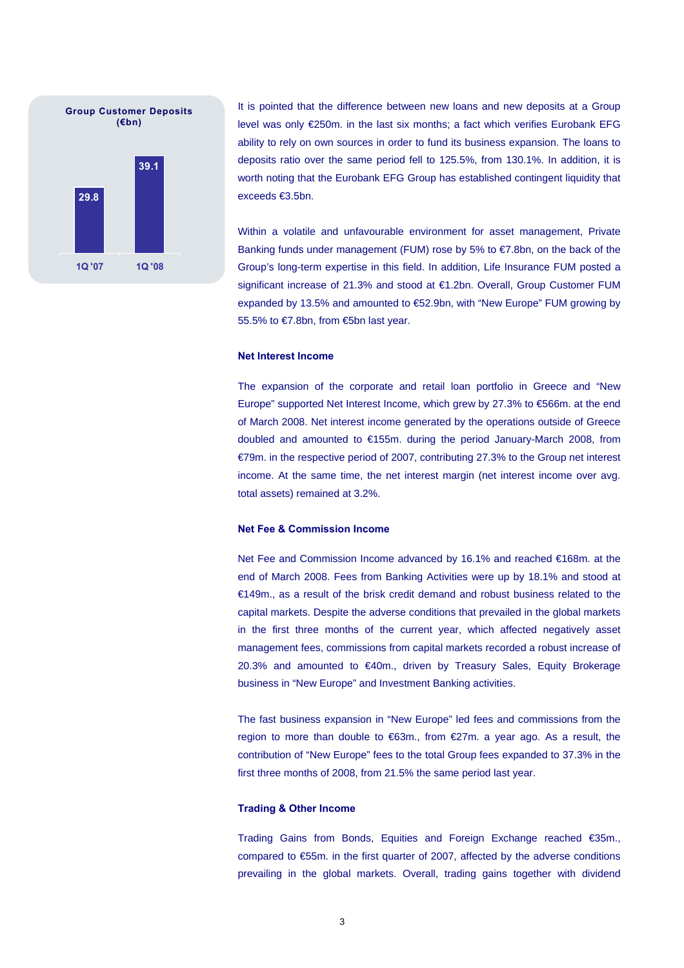

It is pointed that the difference between new loans and new deposits at a Group level was only €250m. in the last six months; a fact which verifies Eurobank EFG ability to rely on own sources in order to fund its business expansion. The loans to deposits ratio over the same period fell to 125.5%, from 130.1%. In addition, it is worth noting that the Eurobank EFG Group has established contingent liquidity that exceeds €3.5bn.

Within a volatile and unfavourable environment for asset management, Private Banking funds under management (FUM) rose by 5% to €7.8bn, on the back of the Group's long-term expertise in this field. In addition, Life Insurance FUM posted a significant increase of 21.3% and stood at €1.2bn. Overall, Group Customer FUM expanded by 13.5% and amounted to €52.9bn, with "New Europe" FUM growing by 55.5% to €7.8bn, from €5bn last year.

#### **Net Interest Income**

The expansion of the corporate and retail loan portfolio in Greece and "New Europe" supported Net Interest Income, which grew by 27.3% to €566m. at the end of March 2008. Net interest income generated by the operations outside of Greece doubled and amounted to €155m. during the period January-March 2008, from €79m. in the respective period of 2007, contributing 27.3% to the Group net interest income. At the same time, the net interest margin (net interest income over avg. total assets) remained at 3.2%.

#### **Net Fee & Commission Income**

Net Fee and Commission Income advanced by 16.1% and reached €168m. at the end of March 2008. Fees from Banking Activities were up by 18.1% and stood at €149m., as a result of the brisk credit demand and robust business related to the capital markets. Despite the adverse conditions that prevailed in the global markets in the first three months of the current year, which affected negatively asset management fees, commissions from capital markets recorded a robust increase of 20.3% and amounted to €40m., driven by Treasury Sales, Equity Brokerage business in "New Europe" and Investment Banking activities.

The fast business expansion in "New Europe" led fees and commissions from the region to more than double to €63m., from €27m. a year ago. As a result, the contribution of "New Europe" fees to the total Group fees expanded to 37.3% in the first three months of 2008, from 21.5% the same period last year.

#### **Trading & Other Income**

Trading Gains from Bonds, Equities and Foreign Exchange reached €35m., compared to €55m. in the first quarter of 2007, affected by the adverse conditions prevailing in the global markets. Overall, trading gains together with dividend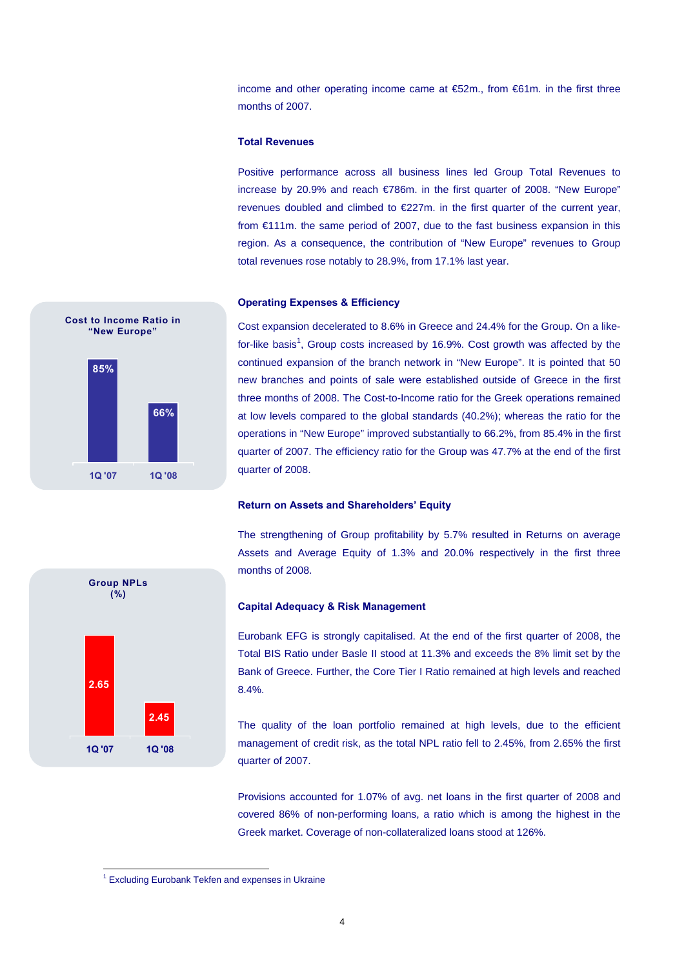income and other operating income came at €52m., from €61m. in the first three months of 2007.

#### **Total Revenues**

Positive performance across all business lines led Group Total Revenues to increase by 20.9% and reach €786m. in the first quarter of 2008. "New Europe" revenues doubled and climbed to €227m. in the first quarter of the current year, from €111m. the same period of 2007, due to the fast business expansion in this region. As a consequence, the contribution of "New Europe" revenues to Group total revenues rose notably to 28.9%, from 17.1% last year.

#### **Operating Expenses & Efficiency**

**85% 66% 1Q '07 1Q '08 Cost to Income Ratio in "New Europe"** 

Cost expansion decelerated to 8.6% in Greece and 24.4% for the Group. On a likefor-like basis<sup>1</sup>, Group costs increased by 16.9%. Cost growth was affected by the continued expansion of the branch network in "New Europe". It is pointed that 50 new branches and points of sale were established outside of Greece in the first three months of 2008. The Cost-to-Income ratio for the Greek operations remained at low levels compared to the global standards (40.2%); whereas the ratio for the operations in "New Europe" improved substantially to 66.2%, from 85.4% in the first quarter of 2007. The efficiency ratio for the Group was 47.7% at the end of the first quarter of 2008.

#### **Return on Assets and Shareholders' Equity**

The strengthening of Group profitability by 5.7% resulted in Returns on average Assets and Average Equity of 1.3% and 20.0% respectively in the first three months of 2008.



#### **Capital Adequacy & Risk Management**

Eurobank EFG is strongly capitalised. At the end of the first quarter of 2008, the Total BIS Ratio under Basle II stood at 11.3% and exceeds the 8% limit set by the Bank of Greece. Further, the Core Tier I Ratio remained at high levels and reached 8.4%.

The quality of the loan portfolio remained at high levels, due to the efficient management of credit risk, as the total NPL ratio fell to 2.45%, from 2.65% the first quarter of 2007.

Provisions accounted for 1.07% of avg. net loans in the first quarter of 2008 and covered 86% of non-performing loans, a ratio which is among the highest in the Greek market. Coverage of non-collateralized loans stood at 126%.

 1 Excluding Eurobank Tekfen and expenses in Ukraine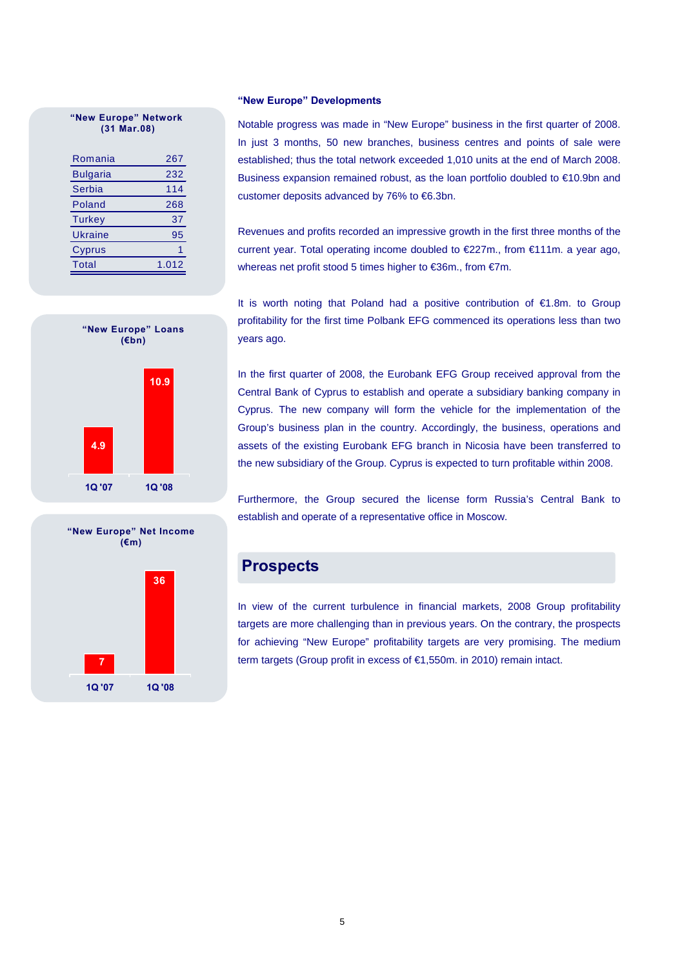#### **"New Europe" Network (31 Mar.08)**

| Romania         | 267   |
|-----------------|-------|
| <b>Bulgaria</b> | 232   |
| Serbia          | 114   |
| Poland          | 268   |
| Turkey          | 37    |
| Ukraine         | 95    |
| Cyprus          |       |
| Total           | 1.012 |

#### **"New Europe" Developments**

Notable progress was made in "New Europe" business in the first quarter of 2008. In just 3 months, 50 new branches, business centres and points of sale were established; thus the total network exceeded 1,010 units at the end of March 2008. Business expansion remained robust, as the loan portfolio doubled to €10.9bn and customer deposits advanced by 76% to €6.3bn.

Revenues and profits recorded an impressive growth in the first three months of the current year. Total operating income doubled to €227m., from €111m. a year ago, whereas net profit stood 5 times higher to €36m., from €7m.

It is worth noting that Poland had a positive contribution of €1.8m. to Group profitability for the first time Polbank EFG commenced its operations less than two years ago.



**"New Europe" Net Income (€m)** 



In the first quarter of 2008, the Eurobank EFG Group received approval from the Central Bank of Cyprus to establish and operate a subsidiary banking company in Cyprus. The new company will form the vehicle for the implementation of the Group's business plan in the country. Accordingly, the business, operations and assets of the existing Eurobank EFG branch in Nicosia have been transferred to the new subsidiary of the Group. Cyprus is expected to turn profitable within 2008.

Furthermore, the Group secured the license form Russia's Central Bank to establish and operate of a representative office in Moscow.

## **Prospects**

In view of the current turbulence in financial markets, 2008 Group profitability targets are more challenging than in previous years. On the contrary, the prospects for achieving "New Europe" profitability targets are very promising. The medium term targets (Group profit in excess of €1,550m. in 2010) remain intact.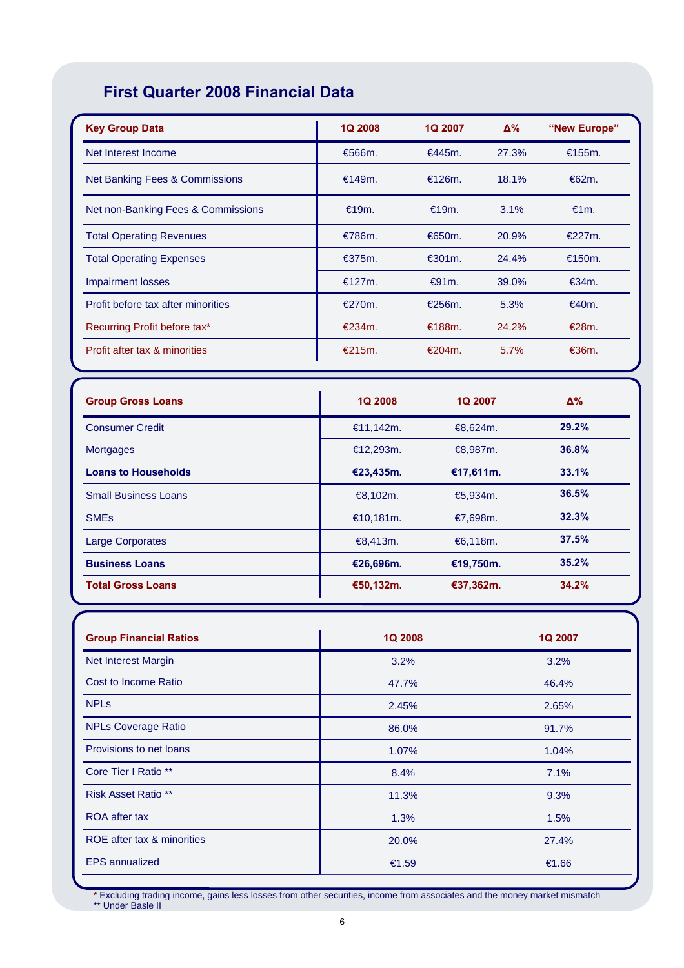## **First Quarter 2008 Financial Data**

| <b>Key Group Data</b>              | <b>1Q 2008</b> | 1Q 2007           | $\Delta\%$ | "New Europe" |
|------------------------------------|----------------|-------------------|------------|--------------|
| Net Interest Income                | €566m.         | €445m.            | 27.3%      | €155m.       |
| Net Banking Fees & Commissions     | €149m.         | €126m.            | 18.1%      | €62m.        |
| Net non-Banking Fees & Commissions | €19m.          | €19m.             | 3.1%       | €1m.         |
| <b>Total Operating Revenues</b>    | €786m.         | €650m.            | 20.9%      | €227m.       |
| <b>Total Operating Expenses</b>    | €375m.         | $\epsilon$ 301 m. | 24.4%      | €150m.       |
| <b>Impairment losses</b>           | €127m.         | €91m.             | 39.0%      | €34m.        |
| Profit before tax after minorities | €270m.         | €256m.            | 5.3%       | €40m.        |
| Recurring Profit before tax*       | €234m.         | €188m.            | 24.2%      | €28m.        |
| Profit after tax & minorities      | €215m.         | €204m.            | 5.7%       | €36m.        |

| <b>Group Gross Loans</b>    | <b>1Q 2008</b> | <b>1Q 2007</b> | $\Delta\%$ |
|-----------------------------|----------------|----------------|------------|
| <b>Consumer Credit</b>      | €11,142m.      | €8,624m.       | 29.2%      |
| <b>Mortgages</b>            | €12,293m.      | €8,987m.       | 36.8%      |
| <b>Loans to Households</b>  | €23,435m.      | €17,611m.      | 33.1%      |
| <b>Small Business Loans</b> | €8,102m.       | €5,934m.       | 36.5%      |
| <b>SME<sub>s</sub></b>      | €10,181m.      | €7,698m.       | 32.3%      |
| <b>Large Corporates</b>     | €8,413m.       | €6,118m.       | 37.5%      |
| <b>Business Loans</b>       | €26,696m.      | €19,750m.      | 35.2%      |
| <b>Total Gross Loans</b>    | €50,132m.      | €37,362m.      | 34.2%      |

| <b>Group Financial Ratios</b> | <b>1Q 2008</b> | 1Q 2007 |
|-------------------------------|----------------|---------|
| Net Interest Margin           | 3.2%           | 3.2%    |
| Cost to Income Ratio          | 47.7%          | 46.4%   |
| <b>NPL<sub>s</sub></b>        | 2.45%          | 2.65%   |
| <b>NPLs Coverage Ratio</b>    | 86.0%          | 91.7%   |
| Provisions to net loans       | 1.07%          | 1.04%   |
| Core Tier I Ratio **          | 8.4%           | 7.1%    |
| <b>Risk Asset Ratio **</b>    | 11.3%          | 9.3%    |
| <b>ROA</b> after tax          | 1.3%           | 1.5%    |
| ROE after tax & minorities    | 20.0%          | 27.4%   |
| <b>EPS</b> annualized         | €1.59          | €1.66   |

\* Excluding trading income, gains less losses from other securities, income from associates and the money market mismatch \*\* Under Basle II